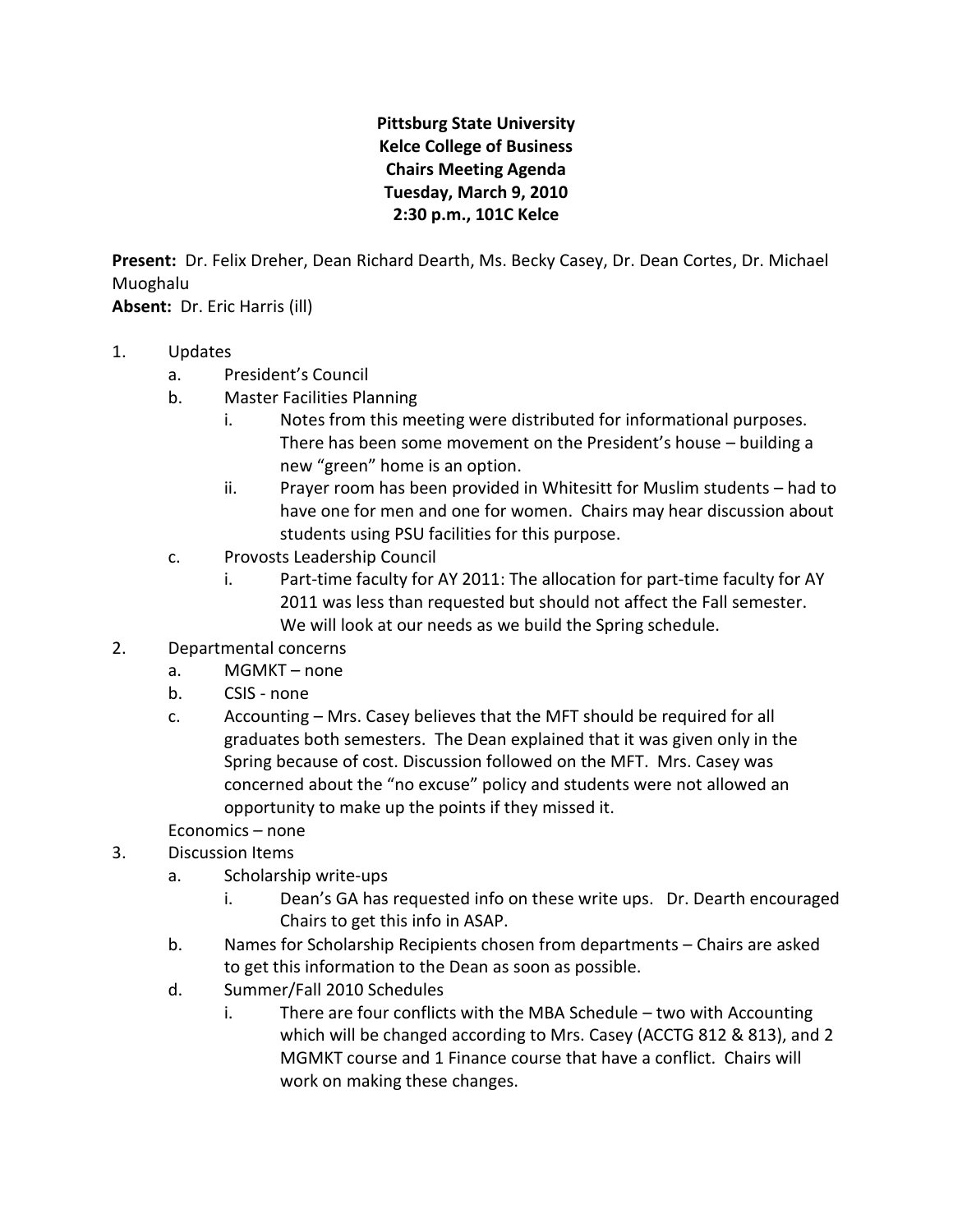## **Pittsburg State University Kelce College of Business Chairs Meeting Agenda Tuesday, March 9, 2010 2:30 p.m., 101C Kelce**

**Present:** Dr. Felix Dreher, Dean Richard Dearth, Ms. Becky Casey, Dr. Dean Cortes, Dr. Michael Muoghalu

**Absent:** Dr. Eric Harris (ill)

- 1. Updates
	- a. President's Council
	- b. Master Facilities Planning
		- i. Notes from this meeting were distributed for informational purposes. There has been some movement on the President's house – building a new "green" home is an option.
		- ii. Prayer room has been provided in Whitesitt for Muslim students had to have one for men and one for women. Chairs may hear discussion about students using PSU facilities for this purpose.
	- c. Provosts Leadership Council
		- i. Part-time faculty for AY 2011: The allocation for part-time faculty for AY 2011 was less than requested but should not affect the Fall semester. We will look at our needs as we build the Spring schedule.
- 2. Departmental concerns
	- a. MGMKT none
	- b. CSIS none
	- c. Accounting Mrs. Casey believes that the MFT should be required for all graduates both semesters. The Dean explained that it was given only in the Spring because of cost. Discussion followed on the MFT. Mrs. Casey was concerned about the "no excuse" policy and students were not allowed an opportunity to make up the points if they missed it.
	- Economics none
- 3. Discussion Items
	- a. Scholarship write-ups
		- i. Dean's GA has requested info on these write ups. Dr. Dearth encouraged Chairs to get this info in ASAP.
	- b. Names for Scholarship Recipients chosen from departments Chairs are asked to get this information to the Dean as soon as possible.
	- d. Summer/Fall 2010 Schedules
		- i. There are four conflicts with the MBA Schedule two with Accounting which will be changed according to Mrs. Casey (ACCTG 812 & 813), and 2 MGMKT course and 1 Finance course that have a conflict. Chairs will work on making these changes.